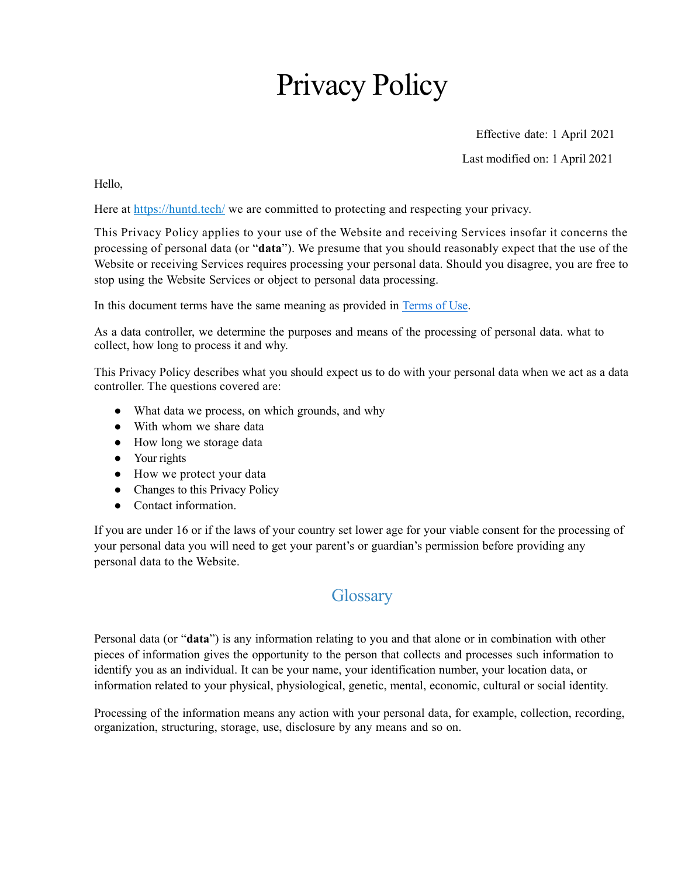# Privacy Policy

Effective date: 1 April 2021

Last modified on: 1 April 2021

Hello,

Here at <https://huntd.tech/> we are committed to protecting and respecting your privacy.

This Privacy Policy applies to your use of the Website and receiving Services insofar it concerns the processing of personal data (or "**data**"). We presume that you should reasonably expect that the use of the Website or receiving Services requires processing your personal data. Should you disagree, you are free to stop using the Website Services or object to personal data processing.

In this document terms have the same meaning as provided in [Terms of Use.](https://huntd.tech/terms-of-use.pdf)

As a data controller, we determine the purposes and means of the processing of personal data. what to collect, how long to process it and why.

This Privacy Policy describes what you should expect us to do with your personal data when we act as a data controller. The questions covered are:

- What data we process, on which grounds, and why
- With whom we share data
- How long we storage data
- Your rights
- How we protect your data
- Changes to this Privacy Policy
- Contact information.

If you are under 16 or if the laws of your country set lower age for your viable consent for the processing of your personal data you will need to get your parent's or guardian's permission before providing any personal data to the Website.

## **Glossary**

Personal data (or "**data**") is any information relating to you and that alone or in combination with other pieces of information gives the opportunity to the person that collects and processes such information to identify you as an individual. It can be your name, your identification number, your location data, or information related to your physical, physiological, genetic, mental, economic, cultural or social identity.

Processing of the information means any action with your personal data, for example, collection, recording, organization, structuring, storage, use, disclosure by any means and so on.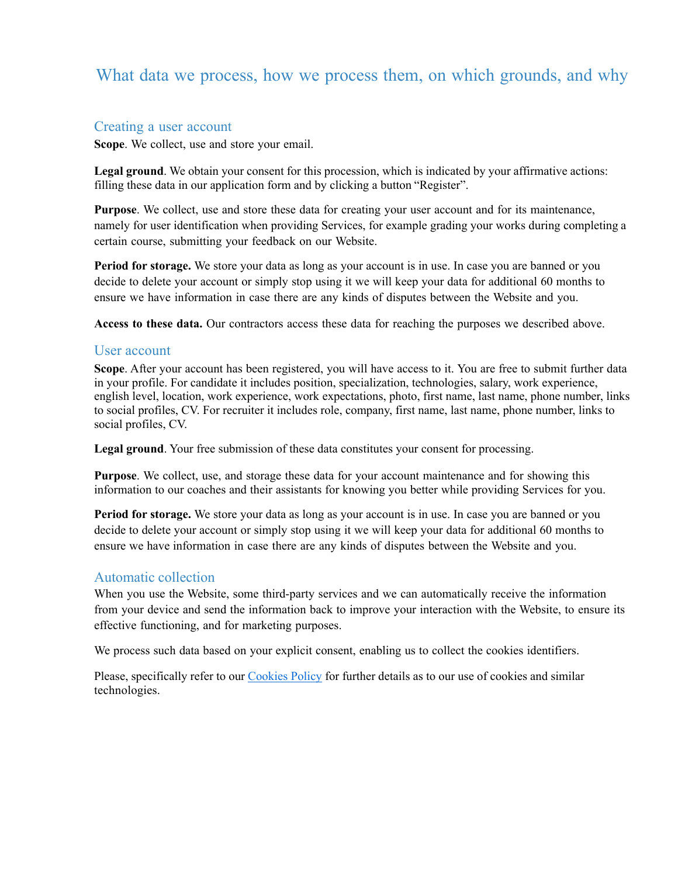## What data we process, how we process them, on which grounds, and why

#### Creating a user account

**Scope**. We collect, use and store your email.

**Legal ground**. We obtain your consent for this procession, which is indicated by your affirmative actions: filling these data in our application form and by clicking a button "Register".

**Purpose**. We collect, use and store these data for creating your user account and for its maintenance, namely for user identification when providing Services, for example grading your works during completing a certain course, submitting your feedback on our Website.

**Period for storage.** We store your data as long as your account is in use. In case you are banned or you decide to delete your account or simply stop using it we will keep your data for additional 60 months to ensure we have information in case there are any kinds of disputes between the Website and you.

**Access to these data.** Our contractors access these data for reaching the purposes we described above.

#### User account

**Scope**. After your account has been registered, you will have access to it. You are free to submit further data in your profile. For candidate it includes position, specialization, technologies, salary, work experience, english level, location, work experience, work expectations, photo, first name, last name, phone number, links to social profiles, CV. For recruiter it includes role, company, first name, last name, phone number, links to social profiles, CV.

**Legal ground**. Your free submission of these data constitutes your consent for processing.

**Purpose**. We collect, use, and storage these data for your account maintenance and for showing this information to our coaches and their assistants for knowing you better while providing Services for you.

**Period for storage.** We store your data as long as your account is in use. In case you are banned or you decide to delete your account or simply stop using it we will keep your data for additional 60 months to ensure we have information in case there are any kinds of disputes between the Website and you.

### Automatic collection

When you use the Website, some third-party services and we can automatically receive the information from your device and send the information back to improve your interaction with the Website, to ensure its effective functioning, and for marketing purposes.

We process such data based on your explicit consent, enabling us to collect the cookies identifiers.

Please, specifically refer to our [Cookies Policy](https://huntd.tech/cookies-policy.pdf) for further details as to our use of cookies and similar technologies.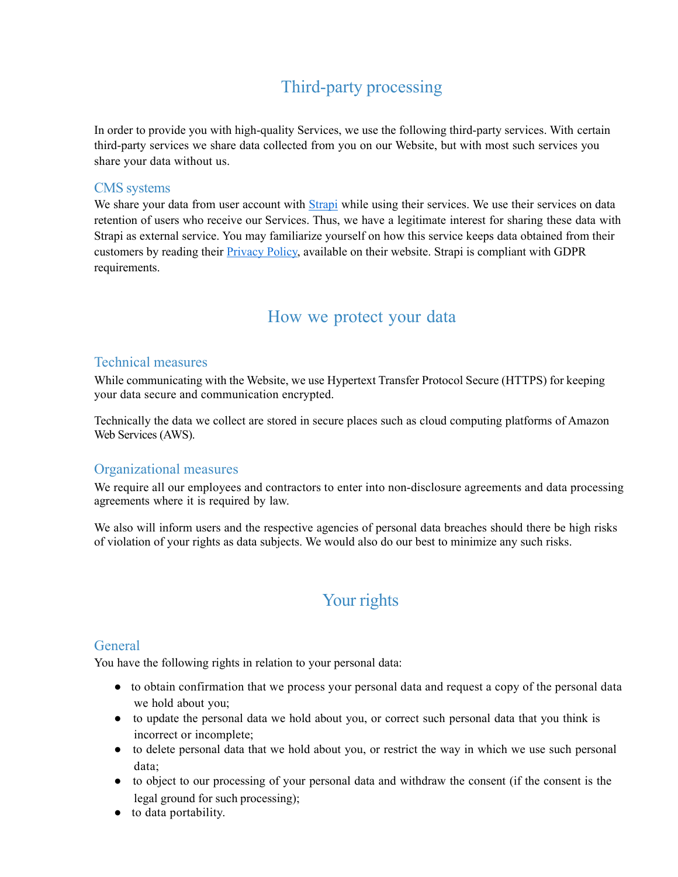# Third-party processing

In order to provide you with high-quality Services, we use the following third-party services. With certain third-party services we share data collected from you on our Website, but with most such services you share your data without us.

### CMS systems

We share your data from user account with *[Strapi](https://strapi.io/)* while using their services. We use their services on data retention of users who receive our Services. Thus, we have a legitimate interest for sharing these data with Strapi as external service. You may familiarize yourself on how this service keeps data obtained from their customers by reading their [Privacy Policy,](https://strapi.io/privacy) available on their website. Strapi is compliant with GDPR requirements.

### How we protect your data

### Technical measures

While communicating with the Website, we use Hypertext Transfer Protocol Secure (HTTPS) for keeping your data secure and communication encrypted.

Technically the data we collect are stored in secure places such as cloud computing platforms of Amazon Web Services (AWS).

### Organizational measures

We require all our employees and contractors to enter into non-disclosure agreements and data processing agreements where it is required by law.

We also will inform users and the respective agencies of personal data breaches should there be high risks of violation of your rights as data subjects. We would also do our best to minimize any such risks.

# Your rights

### General

You have the following rights in relation to your personal data:

- to obtain confirmation that we process your personal data and request a copy of the personal data we hold about you;
- to update the personal data we hold about you, or correct such personal data that you think is incorrect or incomplete;
- to delete personal data that we hold about you, or restrict the way in which we use such personal data;
- to object to our processing of your personal data and withdraw the consent (if the consent is the legal ground for such processing);
- to data portability.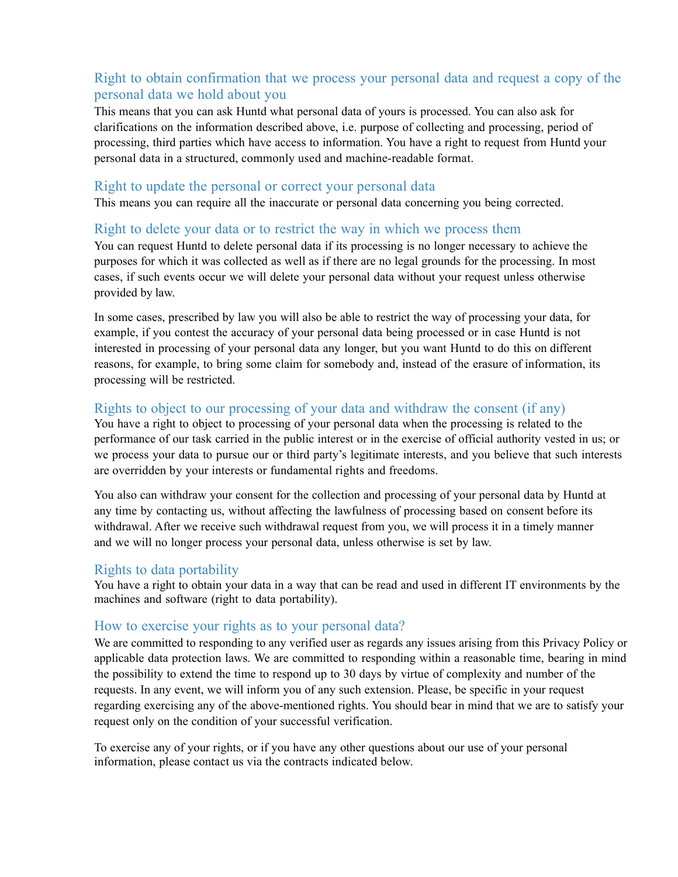### Right to obtain confirmation that we process your personal data and request a copy of the personal data we hold about you

This means that you can ask Huntd what personal data of yours is processed. You can also ask for clarifications on the information described above, i.e. purpose of collecting and processing, period of processing, third parties which have access to information. You have a right to request from Huntd your personal data in a structured, commonly used and machine-readable format.

#### Right to update the personal or correct your personal data

This means you can require all the inaccurate or personal data concerning you being corrected.

### Right to delete your data or to restrict the way in which we process them

You can request Huntd to delete personal data if its processing is no longer necessary to achieve the purposes for which it was collected as well as if there are no legal grounds for the processing. In most cases, if such events occur we will delete your personal data without your request unless otherwise provided by law.

In some cases, prescribed by law you will also be able to restrict the way of processing your data, for example, if you contest the accuracy of your personal data being processed or in case Huntd is not interested in processing of your personal data any longer, but you want Huntd to do this on different reasons, for example, to bring some claim for somebody and, instead of the erasure of information, its processing will be restricted.

### Rights to object to our processing of your data and withdraw the consent (if any)

You have a right to object to processing of your personal data when the processing is related to the performance of our task carried in the public interest or in the exercise of official authority vested in us; or we process your data to pursue our or third party's legitimate interests, and you believe that such interests are overridden by your interests or fundamental rights and freedoms.

You also can withdraw your consent for the collection and processing of your personal data by Huntd at any time by contacting us, without affecting the lawfulness of processing based on consent before its withdrawal. After we receive such withdrawal request from you, we will process it in a timely manner and we will no longer process your personal data, unless otherwise is set by law.

### Rights to data portability

You have a right to obtain your data in a way that can be read and used in different IT environments by the machines and software (right to data portability).

### How to exercise your rights as to your personal data?

We are committed to responding to any verified user as regards any issues arising from this Privacy Policy or applicable data protection laws. We are committed to responding within a reasonable time, bearing in mind the possibility to extend the time to respond up to 30 days by virtue of complexity and number of the requests. In any event, we will inform you of any such extension. Please, be specific in your request regarding exercising any of the above-mentioned rights. You should bear in mind that we are to satisfy your request only on the condition of your successful verification.

To exercise any of your rights, or if you have any other questions about our use of your personal information, please contact us via the contracts indicated below.